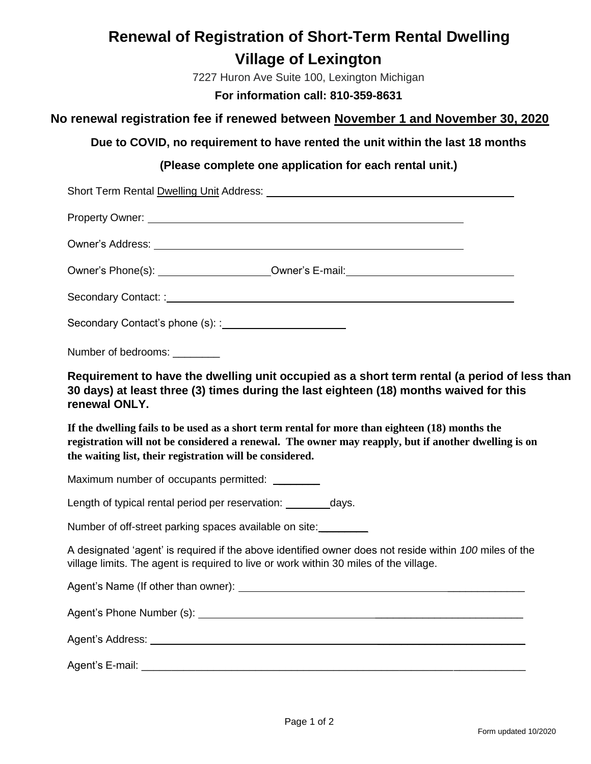# **Renewal of Registration of Short-Term Rental Dwelling Village of Lexington**

7227 Huron Ave Suite 100, Lexington Michigan

**For information call: 810-359-8631**

### **No renewal registration fee if renewed between November 1 and November 30, 2020**

**Due to COVID, no requirement to have rented the unit within the last 18 months**

### **(Please complete one application for each rental unit.)**

| Property Owner: New York Changes and Changes and Changes and Changes and Changes and Changes and Changes and Changes and Changes and Changes and Changes and Changes and Changes and Changes and Changes and Changes and Chang                                    |
|-------------------------------------------------------------------------------------------------------------------------------------------------------------------------------------------------------------------------------------------------------------------|
|                                                                                                                                                                                                                                                                   |
| Owner's Phone(s): _______________________Owner's E-mail: _______________________                                                                                                                                                                                  |
|                                                                                                                                                                                                                                                                   |
|                                                                                                                                                                                                                                                                   |
| Number of bedrooms: _______                                                                                                                                                                                                                                       |
| Requirement to have the dwelling unit occupied as a short term rental (a period of less than<br>30 days) at least three (3) times during the last eighteen (18) months waived for this<br>renewal ONLY.                                                           |
| If the dwelling fails to be used as a short term rental for more than eighteen (18) months the<br>registration will not be considered a renewal. The owner may reapply, but if another dwelling is on<br>the waiting list, their registration will be considered. |
| Maximum number of occupants permitted: ________                                                                                                                                                                                                                   |
| Length of typical rental period per reservation: __________days.                                                                                                                                                                                                  |
| Number of off-street parking spaces available on site:                                                                                                                                                                                                            |
| A designated 'agent' is required if the above identified owner does not reside within 100 miles of the<br>village limits. The agent is required to live or work within 30 miles of the village.                                                                   |
|                                                                                                                                                                                                                                                                   |
|                                                                                                                                                                                                                                                                   |
|                                                                                                                                                                                                                                                                   |
|                                                                                                                                                                                                                                                                   |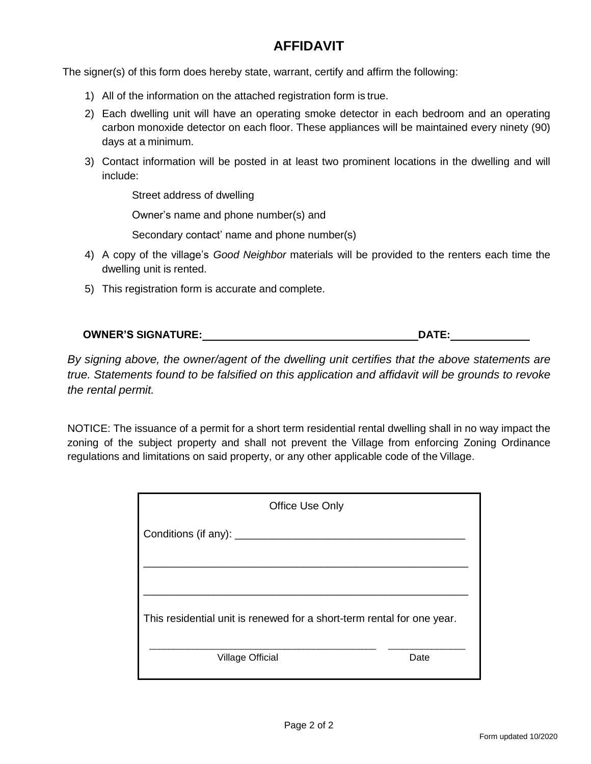### **AFFIDAVIT**

The signer(s) of this form does hereby state, warrant, certify and affirm the following:

- 1) All of the information on the attached registration form is true.
- 2) Each dwelling unit will have an operating smoke detector in each bedroom and an operating carbon monoxide detector on each floor. These appliances will be maintained every ninety (90) days at a minimum.
- 3) Contact information will be posted in at least two prominent locations in the dwelling and will include:

Street address of dwelling

Owner's name and phone number(s) and

Secondary contact' name and phone number(s)

- 4) A copy of the village's *Good Neighbor* materials will be provided to the renters each time the dwelling unit is rented.
- 5) This registration form is accurate and complete.

| <b>OWNER'S SIGNATURE:</b> | <b>DATE:</b> |
|---------------------------|--------------|
|                           |              |

*By signing above, the owner/agent of the dwelling unit certifies that the above statements are true. Statements found to be falsified on this application and affidavit will be grounds to revoke the rental permit.*

NOTICE: The issuance of a permit for a short term residential rental dwelling shall in no way impact the zoning of the subject property and shall not prevent the Village from enforcing Zoning Ordinance regulations and limitations on said property, or any other applicable code of the Village.

| Office Use Only                                                        |  |  |
|------------------------------------------------------------------------|--|--|
| Conditions (if any): _____                                             |  |  |
|                                                                        |  |  |
|                                                                        |  |  |
| This residential unit is renewed for a short-term rental for one year. |  |  |
| <b>Village Official</b><br>Date                                        |  |  |